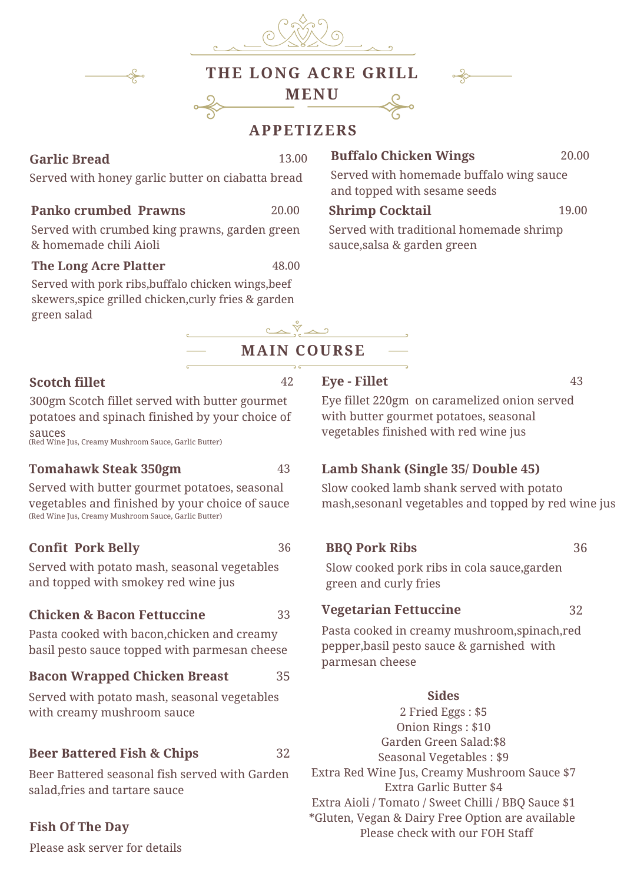| THE LONG ACRE GRILL<br><b>MENU</b><br><b>APPETIZERS</b>                                                                   |       |                                                                         |       |
|---------------------------------------------------------------------------------------------------------------------------|-------|-------------------------------------------------------------------------|-------|
| <b>Garlic Bread</b>                                                                                                       | 13.00 | <b>Buffalo Chicken Wings</b>                                            | 20.00 |
| Served with honey garlic butter on ciabatta bread                                                                         |       | Served with homemade buffalo wing sauce<br>and topped with sesame seeds |       |
| <b>Panko crumbed Prawns</b>                                                                                               | 20.00 | <b>Shrimp Cocktail</b>                                                  | 19.00 |
| Served with crumbed king prawns, garden green<br>& homemade chili Aioli                                                   |       | Served with traditional homemade shrimp<br>sauce, salsa & garden green  |       |
| <b>The Long Acre Platter</b>                                                                                              | 48.00 |                                                                         |       |
| Served with pork ribs, buffalo chicken wings, beef<br>skewers, spice grilled chicken, curly fries & garden<br>green salad |       |                                                                         |       |

# **MAIN COURSE**

م گُه

42

#### **Scotch fillet**

300gm Scotch fillet served with butter gourmet potatoes and spinach finished by your choice of sauces (Red Wine Jus, Creamy Mushroom Sauce, Garlic Butter)

#### **Tomahawk Steak 350gm**

43

36

33

32

Served with butter gourmet potatoes, seasonal vegetables and finished by your choice of sauce (Red Wine Jus, Creamy Mushroom Sauce, Garlic Butter)

### **Confit Pork Belly**

Served with potato mash, seasonal vegetables and topped with smokey red wine jus

#### **Chicken & Bacon Fettuccine**

Pasta cooked with bacon,chicken and creamy basil pesto sauce topped with parmesan cheese

#### **Bacon Wrapped Chicken Breast** 35

Served with potato mash, seasonal vegetables with creamy mushroom sauce

### **Beer Battered Fish & Chips**

Beer Battered seasonal fish served with Garden salad,fries and tartare sauce

### **Fish Of The Day**

Please ask server for details

#### **Eye - Fillet**

43

Eye fillet 220gm on caramelized onion served with butter gourmet potatoes, seasonal vegetables finished with red wine jus

## **Lamb Shank (Single 35/ Double 45)**

Slow cooked lamb shank served with potato mash,sesonanl vegetables and topped by red wine jus

### **BBQ Pork Ribs**

36

Slow cooked pork ribs in cola sauce,garden green and curly fries

#### **Vegetarian Fettuccine**

32

Pasta cooked in creamy mushroom,spinach,red pepper,basil pesto sauce & garnished with parmesan cheese

#### **Sides**

2 Fried Eggs : \$5 Onion Rings : \$10 Garden Green Salad:\$8 Seasonal Vegetables : \$9 Extra Red Wine Jus, Creamy Mushroom Sauce \$7 Extra Garlic Butter \$4 Extra Aioli / Tomato / Sweet Chilli / BBQ Sauce \$1 \*Gluten, Vegan & Dairy Free Option are available Please check with our FOH Staff